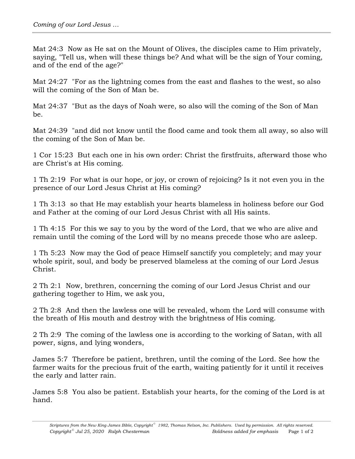Mat 24:3 Now as He sat on the Mount of Olives, the disciples came to Him privately, saying, "Tell us, when will these things be? And what will be the sign of Your coming, and of the end of the age?"

Mat 24:27 "For as the lightning comes from the east and flashes to the west, so also will the coming of the Son of Man be.

Mat 24:37 "But as the days of Noah were, so also will the coming of the Son of Man be.

Mat 24:39 "and did not know until the flood came and took them all away, so also will the coming of the Son of Man be.

1 Cor 15:23 But each one in his own order: Christ the firstfruits, afterward those who are Christ's at His coming.

1 Th 2:19 For what is our hope, or joy, or crown of rejoicing? Is it not even you in the presence of our Lord Jesus Christ at His coming?

1 Th 3:13 so that He may establish your hearts blameless in holiness before our God and Father at the coming of our Lord Jesus Christ with all His saints.

1 Th 4:15 For this we say to you by the word of the Lord, that we who are alive and remain until the coming of the Lord will by no means precede those who are asleep.

1 Th 5:23 Now may the God of peace Himself sanctify you completely; and may your whole spirit, soul, and body be preserved blameless at the coming of our Lord Jesus Christ.

2 Th 2:1 Now, brethren, concerning the coming of our Lord Jesus Christ and our gathering together to Him, we ask you,

2 Th 2:8 And then the lawless one will be revealed, whom the Lord will consume with the breath of His mouth and destroy with the brightness of His coming.

2 Th 2:9 The coming of the lawless one is according to the working of Satan, with all power, signs, and lying wonders,

James 5:7 Therefore be patient, brethren, until the coming of the Lord. See how the farmer waits for the precious fruit of the earth, waiting patiently for it until it receives the early and latter rain.

James 5:8 You also be patient. Establish your hearts, for the coming of the Lord is at hand.